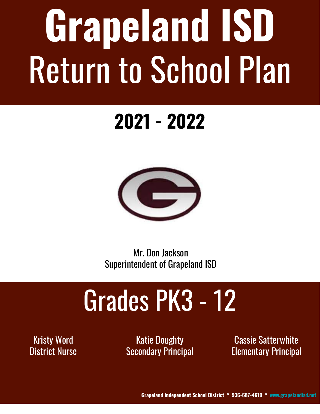# **Grapeland ISD** Return to School Plan

### **2021 - 2022**



Mr. Don Jackson Superintendent of Grapeland ISD

# Grades PK3 - 12

Kristy Word District Nurse

Katie Doughty **Secondary Principal** 

Cassie Satterwhite Elementary Principal

**Grapeland Independent School District \* 936-687-4619 \* [www.grapelandisd.net](http://www.grapelandisd.net)**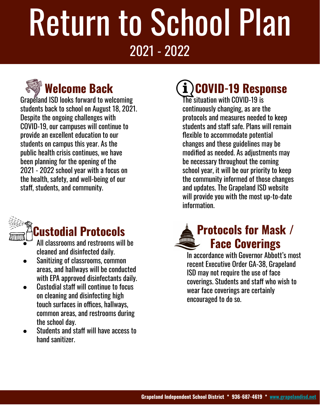### **Welcome Back**

Grapeland ISD looks forward to welcoming students back to school on August 18, 2021. Despite the ongoing challenges with COVID-19, our campuses will continue to provide an excellent education to our students on campus this year. As the public health crisis continues, we have been planning for the opening of the 2021 - 2022 school year with a focus on the health, safety, and well-being of our staff, students, and community.



#### **Custodial Protocols**

- All classrooms and restrooms will be cleaned and disinfected daily.
- Sanitizing of classrooms, common areas, and hallways will be conducted with EPA approved disinfectants daily.
- Custodial staff will continue to focus on cleaning and disinfecting high touch surfaces in offices, hallways, common areas, and restrooms during the school day.
- Students and staff will have access to hand sanitizer.

### **COVID-19 Response**

The situation with COVID-19 is continuously changing, as are the protocols and measures needed to keep students and staff safe. Plans will remain flexible to accommodate potential changes and these guidelines may be modified as needed. As adjustments may be necessary throughout the coming school year, it will be our priority to keep the community informed of those changes and updates. The Grapeland ISD website will provide you with the most up-to-date information.

#### **Protocols for Mask / TITUTTIN Face Coverings**

In accordance with Governor Abbott's most recent Executive Order GA-38, Grapeland ISD may not require the use of face coverings. Students and staff who wish to wear face coverings are certainly encouraged to do so.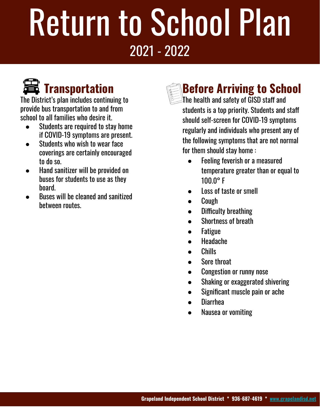

The District's plan includes continuing to provide bus transportation to and from school to all families who desire it.

- Students are required to stay home if COVID-19 symptoms are present.
- Students who wish to wear face coverings are certainly encouraged to do so.
- Hand sanitizer will be provided on buses for students to use as they board.
- Buses will be cleaned and sanitized between routes.



The health and safety of  $\widetilde{\text{G}}$ ISD staff and students is a top priority. Students and staff should self-screen for COVID-19 symptoms regularly and individuals who present any of the following symptoms that are not normal for them should stay home :

- Feeling feverish or a measured temperature greater than or equal to 100.0° F
- Loss of taste or smell
- **Cough**
- **Difficulty breathing**
- Shortness of breath
- **Fatigue**
- Headache
- Chills
- Sore throat
- Congestion or runny nose
- Shaking or exaggerated shivering
- Significant muscle pain or ache
- **Diarrhea**
- Nausea or vomiting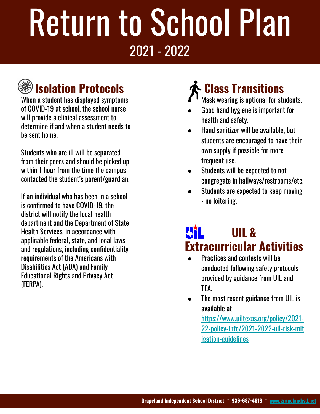### **Isolation Protocols**

When a student has displayed symptoms of COVID-19 at school, the school nurse will provide a clinical assessment to determine if and when a student needs to be sent home.

Students who are ill will be separated from their peers and should be picked up within 1 hour from the time the campus contacted the student's parent/guardian.

If an individual who has been in a school is confirmed to have COVID-19, the district will notify the local health department and the Department of State Health Services, in accordance with applicable federal, state, and local laws and regulations, including confidentiality requirements of the Americans with Disabilities Act (ADA) and Family Educational Rights and Privacy Act (FERPA).

### **Class Transitions**

- Mask wearing is optional for students.
- Good hand hygiene is important for health and safety.
- Hand sanitizer will be available, but students are encouraged to have their own supply if possible for more frequent use.
- Students will be expected to not congregate in hallways/restrooms/etc.
- Students are expected to keep moving - no loitering.

#### **UIL & Extracurricular Activities**

- Practices and contests will be conducted following safety protocols provided by guidance from UIL and TEA.
- The most recent guidance from UIL is available at

[https://www.uiltexas.org/policy/2021-](https://www.uiltexas.org/policy/2021-22-policy-info/2021-2022-uil-risk-mitigation-guidelines) [22-policy-info/2021-2022-uil-risk-mit](https://www.uiltexas.org/policy/2021-22-policy-info/2021-2022-uil-risk-mitigation-guidelines) [igation-guidelines](https://www.uiltexas.org/policy/2021-22-policy-info/2021-2022-uil-risk-mitigation-guidelines)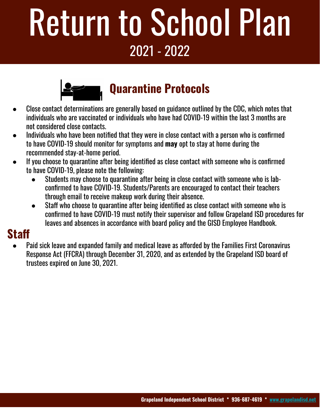

#### **Quarantine Protocols**

- Close contact determinations are generally based on guidance outlined by the CDC, which notes that individuals who are vaccinated or individuals who have had COVID-19 within the last 3 months are not considered close contacts.
- Individuals who have been notified that they were in close contact with a person who is confirmed to have COVID-19 should monitor for symptoms and **may** opt to stay at home during the recommended stay-at-home period.
- If you choose to quarantine after being identified as close contact with someone who is confirmed to have COVID-19, please note the following:
	- Students may choose to quarantine after being in close contact with someone who is labconfirmed to have COVID-19. Students/Parents are encouraged to contact their teachers through email to receive makeup work during their absence.
	- Staff who choose to quarantine after being identified as close contact with someone who is confirmed to have COVID-19 must notify their supervisor and follow Grapeland ISD procedures for leaves and absences in accordance with board policy and the GISD Employee Handbook.

#### **Staff**

Paid sick leave and expanded family and medical leave as afforded by the Families First Coronavirus Response Act (FFCRA) through December 31, 2020, and as extended by the Grapeland ISD board of trustees expired on June 30, 2021.